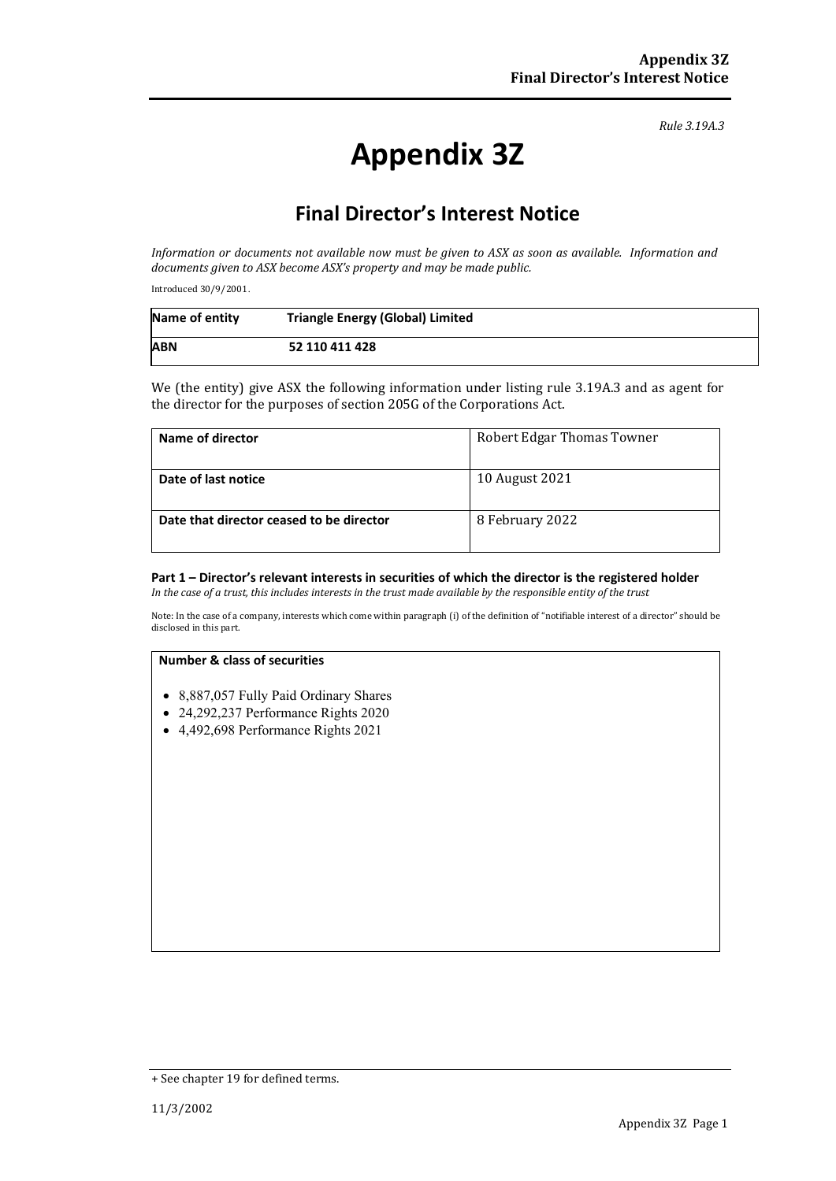*Rule 3.19A.3*

# **Appendix 3Z**

# **Final Director's Interest Notice**

*Information or documents not available now must be given to ASX as soon as available. Information and documents given to ASX become ASX's property and may be made public.*

Introduced 30/9/2001.

| Name of entity | <b>Triangle Energy (Global) Limited</b> |
|----------------|-----------------------------------------|
| <b>ABN</b>     | 52 110 411 428                          |

We (the entity) give ASX the following information under listing rule 3.19A.3 and as agent for the director for the purposes of section 205G of the Corporations Act.

| Name of director                         | <b>Robert Edgar Thomas Towner</b> |
|------------------------------------------|-----------------------------------|
| Date of last notice                      | 10 August 2021                    |
| Date that director ceased to be director | 8 February 2022                   |

## **Part 1 – Director's relevant interests in securities of which the director is the registered holder**

*In the case of a trust, this includes interests in the trust made available by the responsible entity of the trust*

Note: In the case of a company, interests which come within paragraph (i) of the definition of "notifiable interest of a director" should be disclosed in this part.

#### **Number & class of securities**

- 8,887,057 Fully Paid Ordinary Shares
- 24,292,237 Performance Rights 2020
- 4,492,698 Performance Rights 2021

<sup>+</sup> See chapter 19 for defined terms.